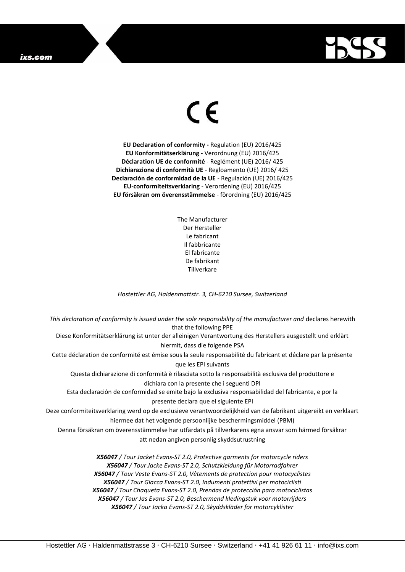## ixs.com



## $\epsilon$

**EU Declaration of conformity -** Regulation (EU) 2016/425 **EU Konformitätserklärung** - Verordnung (EU) 2016/425 **Déclaration UE de conformité** - Reglément (UE) 2016/ 425 **Dichiarazione di conformità UE** - Regloamento (UE) 2016/ 425 **Declaración de conformidad de la UE** - Regulación (UE) 2016/425 **EU-conformiteitsverklaring** - Verordening (EU) 2016/425 **EU försäkran om överensstämmelse** - förordning (EU) 2016/425

> The Manufacturer Der Hersteller Le fabricant Il fabbricante El fabricante De fabrikant **Tillverkare**

*Hostettler AG, Haldenmattstr. 3, CH-6210 Sursee, Switzerland*

*This declaration of conformity is issued under the sole responsibility of the manufacturer and* declares herewith that the following PPE Diese Konformitätserklärung ist unter der alleinigen Verantwortung des Herstellers ausgestellt und erklärt hiermit, dass die folgende PSA Cette déclaration de conformité est émise sous la seule responsabilité du fabricant et déclare par la présente que les EPI suivants Questa dichiarazione di conformità è rilasciata sotto la responsabilità esclusiva del produttore e dichiara con la presente che i seguenti DPI Esta declaración de conformidad se emite bajo la exclusiva responsabilidad del fabricante, e por la presente declara que el siguiente EPI Deze conformiteitsverklaring werd op de exclusieve verantwoordelijkheid van de fabrikant uitgereikt en verklaart hiermee dat het volgende persoonlijke beschermingsmiddel (PBM) Denna försäkran om överensstämmelse har utfärdats på tillverkarens egna ansvar som härmed försäkrar att nedan angiven personlig skyddsutrustning *X56047 / Tour Jacket Evans-ST 2.0, Protective garments for motorcycle riders X56047 / Tour Jacke Evans-ST 2.0, Schutzkleidung für Motorradfahrer X56047 / Tour Veste Evans-ST 2.0, Vêtements de protection pour motocyclistes X56047 / Tour Giacca Evans-ST 2.0, Indumenti protettivi per motociclisti X56047 / Tour Chaqueta Evans-ST 2.0, Prendas de protección para motociclistas*

*X56047 / Tour Jas Evans-ST 2.0, Beschermend kledingstuk voor motorrijders X56047 / Tour Jacka Evans-ST 2.0, Skyddskläder för motorcyklister*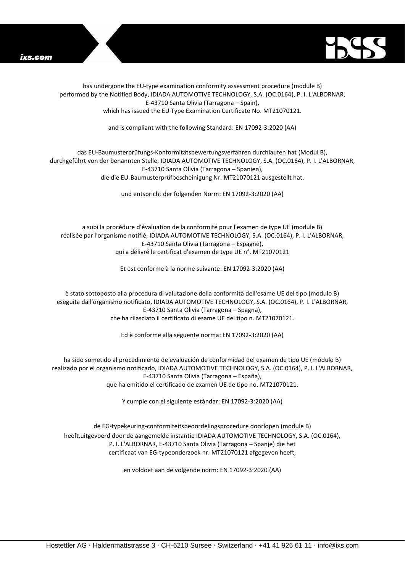



has undergone the EU-type examination conformity assessment procedure (module B) performed by the Notified Body, IDIADA AUTOMOTIVE TECHNOLOGY, S.A. (OC.0164), P. I. L'ALBORNAR, E-43710 Santa Olivia (Tarragona – Spain), which has issued the EU Type Examination Certificate No. MT21070121.

and is compliant with the following Standard: EN 17092-3:2020 (AA)

## das EU-Baumusterprüfungs-Konformitätsbewertungsverfahren durchlaufen hat (Modul B), durchgeführt von der benannten Stelle, IDIADA AUTOMOTIVE TECHNOLOGY, S.A. (OC.0164), P. I. L'ALBORNAR, E-43710 Santa Olivia (Tarragona – Spanien), die die EU-Baumusterprüfbescheinigung Nr. MT21070121 ausgestellt hat.

und entspricht der folgenden Norm: EN 17092-3:2020 (AA)

a subi la procédure d'évaluation de la conformité pour l'examen de type UE (module B) réalisée par l'organisme notifié, IDIADA AUTOMOTIVE TECHNOLOGY, S.A. (OC.0164), P. I. L'ALBORNAR, E-43710 Santa Olivia (Tarragona – Espagne), qui a délivré le certificat d'examen de type UE n°. MT21070121

Et est conforme à la norme suivante: EN 17092-3:2020 (AA)

è stato sottoposto alla procedura di valutazione della conformità dell'esame UE del tipo (modulo B) eseguita dall'organismo notificato, IDIADA AUTOMOTIVE TECHNOLOGY, S.A. (OC.0164), P. I. L'ALBORNAR, E-43710 Santa Olivia (Tarragona – Spagna), che ha rilasciato il certificato di esame UE del tipo n. MT21070121.

Ed è conforme alla seguente norma: EN 17092-3:2020 (AA)

ha sido sometido al procedimiento de evaluación de conformidad del examen de tipo UE (módulo B) realizado por el organismo notificado, IDIADA AUTOMOTIVE TECHNOLOGY, S.A. (OC.0164), P. I. L'ALBORNAR, E-43710 Santa Olivia (Tarragona – España), que ha emitido el certificado de examen UE de tipo no. MT21070121.

Y cumple con el siguiente estándar: EN 17092-3:2020 (AA)

de EG-typekeuring-conformiteitsbeoordelingsprocedure doorlopen (module B) heeft,uitgevoerd door de aangemelde instantie IDIADA AUTOMOTIVE TECHNOLOGY, S.A. (OC.0164), P. I. L'ALBORNAR, E-43710 Santa Olivia (Tarragona – Spanje) die het certificaat van EG-typeonderzoek nr. MT21070121 afgegeven heeft,

en voldoet aan de volgende norm: EN 17092-3:2020 (AA)